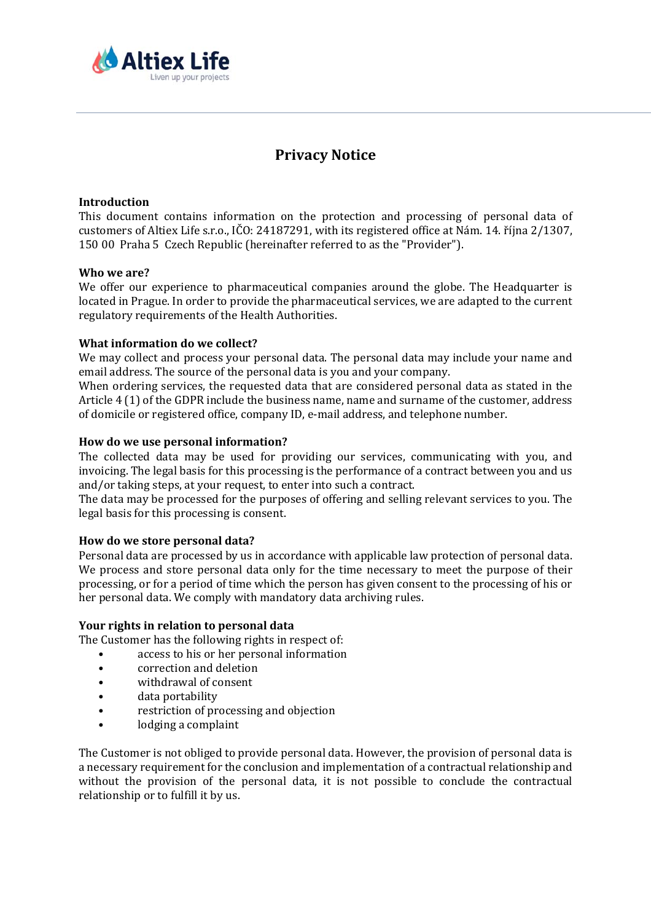

# **Privacy Notice**

## **Introduction**

This document contains information on the protection and processing of personal data of customers of Altiex Life s.r.o., IČO: 24187291, with its registered office at Nám. 14. října 2/1307, 150 00 Praha 5 Czech Republic (hereinafter referred to as the "Provider").

## **Who we are?**

We offer our experience to pharmaceutical companies around the globe. The Headquarter is located in Prague. In order to provide the pharmaceutical services, we are adapted to the current regulatory requirements of the Health Authorities.

## **What information do we collect?**

We may collect and process your personal data. The personal data may include your name and email address. The source of the personal data is you and your company.

When ordering services, the requested data that are considered personal data as stated in the Article 4 (1) of the GDPR include the business name, name and surname of the customer, address of domicile or registered office, company ID, e-mail address, and telephone number.

#### **How do we use personal information?**

The collected data may be used for providing our services, communicating with you, and invoicing. The legal basis for this processing is the performance of a contract between you and us and/or taking steps, at your request, to enter into such a contract.

The data may be processed for the purposes of offering and selling relevant services to you. The legal basis for this processing is consent.

## **How do we store personal data?**

Personal data are processed by us in accordance with applicable law protection of personal data. We process and store personal data only for the time necessary to meet the purpose of their processing, or for a period of time which the person has given consent to the processing of his or her personal data. We comply with mandatory data archiving rules.

## **Your rights in relation to personal data**

The Customer has the following rights in respect of:

- access to his or her personal information
- correction and deletion
- withdrawal of consent
- data portability
- restriction of processing and objection
- lodging a complaint

The Customer is not obliged to provide personal data. However, the provision of personal data is a necessary requirement for the conclusion and implementation of a contractual relationship and without the provision of the personal data, it is not possible to conclude the contractual relationship or to fulfill it by us.